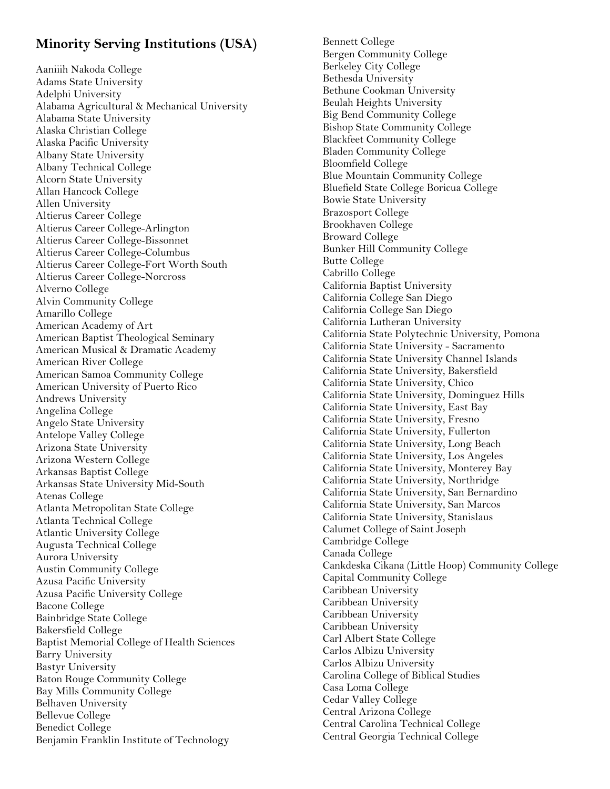## **Minority Serving Institutions (USA)**

Aaniiih Nakoda College Adams State University Adelphi University Alabama Agricultural & Mechanical University Alabama State University Alaska Christian College Alaska Pacific University Albany State University Albany Technical College Alcorn State University Allan Hancock College Allen University Altierus Career College Altierus Career College-Arlington Altierus Career College-Bissonnet Altierus Career College-Columbus Altierus Career College-Fort Worth South Altierus Career College-Norcross Alverno College Alvin Community College Amarillo College American Academy of Art American Baptist Theological Seminary American Musical & Dramatic Academy American River College American Samoa Community College American University of Puerto Rico Andrews University Angelina College Angelo State University Antelope Valley College Arizona State University Arizona Western College Arkansas Baptist College Arkansas State University Mid-South Atenas College Atlanta Metropolitan State College Atlanta Technical College Atlantic University College Augusta Technical College Aurora University Austin Community College Azusa Pacific University Azusa Pacific University College Bacone College Bainbridge State College Bakersfield College Baptist Memorial College of Health Sciences Barry University Bastyr University Baton Rouge Community College Bay Mills Community College Belhaven University Bellevue College Benedict College Benjamin Franklin Institute of Technology

Bennett College Bergen Community College Berkeley City College Bethesda University Bethune Cookman University Beulah Heights University Big Bend Community College Bishop State Community College Blackfeet Community College Bladen Community College Bloomfield College Blue Mountain Community College Bluefield State College Boricua College Bowie State University Brazosport College Brookhaven College Broward College Bunker Hill Community College Butte College Cabrillo College California Baptist University California College San Diego California College San Diego California Lutheran University California State Polytechnic University, Pomona California State University - Sacramento California State University Channel Islands California State University, Bakersfield California State University, Chico California State University, Dominguez Hills California State University, East Bay California State University, Fresno California State University, Fullerton California State University, Long Beach California State University, Los Angeles California State University, Monterey Bay California State University, Northridge California State University, San Bernardino California State University, San Marcos California State University, Stanislaus Calumet College of Saint Joseph Cambridge College Canada College Cankdeska Cikana (Little Hoop) Community College Capital Community College Caribbean University Caribbean University Caribbean University Caribbean University Carl Albert State College Carlos Albizu University Carlos Albizu University Carolina College of Biblical Studies Casa Loma College Cedar Valley College Central Arizona College Central Carolina Technical College Central Georgia Technical College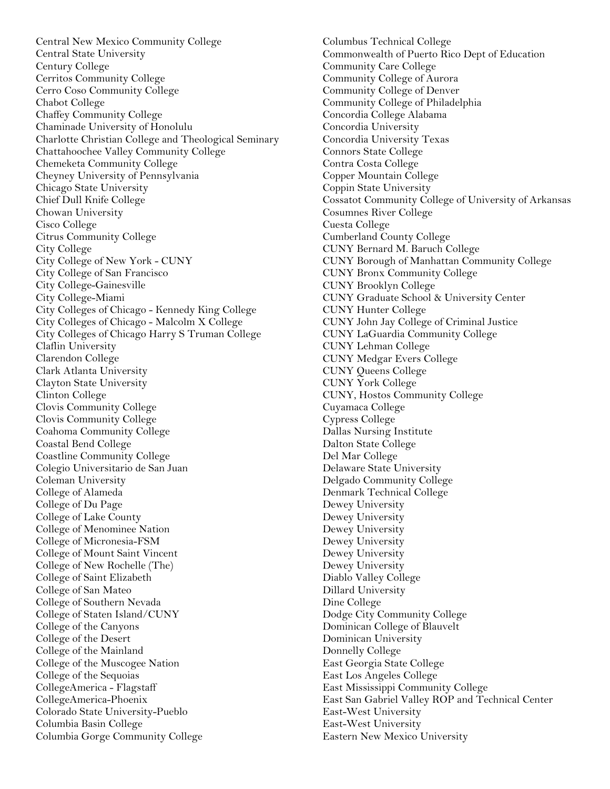Central New Mexico Community College Central State University Century College Cerritos Community College Cerro Coso Community College Chabot College Chaffey Community College Chaminade University of Honolulu Charlotte Christian College and Theological Seminary Chattahoochee Valley Community College Chemeketa Community College Cheyney University of Pennsylvania Chicago State University Chief Dull Knife College Chowan University Cisco College Citrus Community College City College City College of New York - CUNY City College of San Francisco City College-Gainesville City College-Miami City Colleges of Chicago - Kennedy King College City Colleges of Chicago - Malcolm X College City Colleges of Chicago Harry S Truman College Claflin University Clarendon College Clark Atlanta University Clayton State University Clinton College Clovis Community College Clovis Community College Coahoma Community College Coastal Bend College Coastline Community College Colegio Universitario de San Juan Coleman University College of Alameda College of Du Page College of Lake County College of Menominee Nation College of Micronesia-FSM College of Mount Saint Vincent College of New Rochelle (The) College of Saint Elizabeth College of San Mateo College of Southern Nevada College of Staten Island/CUNY College of the Canyons College of the Desert College of the Mainland College of the Muscogee Nation College of the Sequoias CollegeAmerica - Flagstaff CollegeAmerica-Phoenix Colorado State University-Pueblo Columbia Basin College Columbia Gorge Community College

Columbus Technical College Commonwealth of Puerto Rico Dept of Education Community Care College Community College of Aurora Community College of Denver Community College of Philadelphia Concordia College Alabama Concordia University Concordia University Texas Connors State College Contra Costa College Copper Mountain College Coppin State University Cossatot Community College of University of Arkansas Cosumnes River College Cuesta College Cumberland County College CUNY Bernard M. Baruch College CUNY Borough of Manhattan Community College CUNY Bronx Community College CUNY Brooklyn College CUNY Graduate School & University Center CUNY Hunter College CUNY John Jay College of Criminal Justice CUNY LaGuardia Community College CUNY Lehman College CUNY Medgar Evers College CUNY Queens College CUNY York College CUNY, Hostos Community College Cuyamaca College Cypress College Dallas Nursing Institute Dalton State College Del Mar College Delaware State University Delgado Community College Denmark Technical College Dewey University Dewey University Dewey University Dewey University Dewey University Dewey University Diablo Valley College Dillard University Dine College Dodge City Community College Dominican College of Blauvelt Dominican University Donnelly College East Georgia State College East Los Angeles College East Mississippi Community College East San Gabriel Valley ROP and Technical Center East-West University East-West University Eastern New Mexico University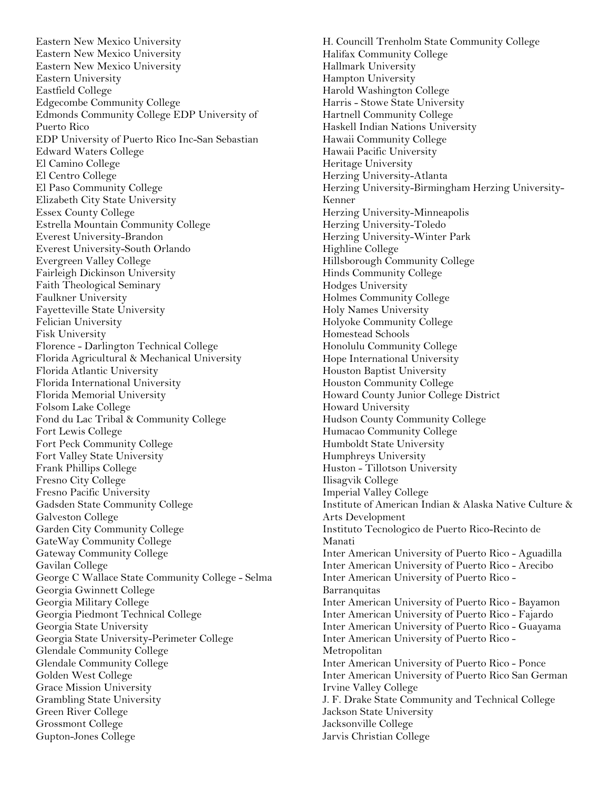Eastern New Mexico University Eastern New Mexico University Eastern New Mexico University Eastern University Eastfield College Edgecombe Community College Edmonds Community College EDP University of Puerto Rico EDP University of Puerto Rico Inc-San Sebastian Edward Waters College El Camino College El Centro College El Paso Community College Elizabeth City State University Essex County College Estrella Mountain Community College Everest University-Brandon Everest University-South Orlando Evergreen Valley College Fairleigh Dickinson University Faith Theological Seminary Faulkner University Fayetteville State University Felician University Fisk University Florence - Darlington Technical College Florida Agricultural & Mechanical University Florida Atlantic University Florida International University Florida Memorial University Folsom Lake College Fond du Lac Tribal & Community College Fort Lewis College Fort Peck Community College Fort Valley State University Frank Phillips College Fresno City College Fresno Pacific University Gadsden State Community College Galveston College Garden City Community College GateWay Community College Gateway Community College Gavilan College George C Wallace State Community College - Selma Georgia Gwinnett College Georgia Military College Georgia Piedmont Technical College Georgia State University Georgia State University-Perimeter College Glendale Community College Glendale Community College Golden West College Grace Mission University Grambling State University Green River College Grossmont College Gupton-Jones College

H. Councill Trenholm State Community College Halifax Community College Hallmark University Hampton University Harold Washington College Harris - Stowe State University Hartnell Community College Haskell Indian Nations University Hawaii Community College Hawaii Pacific University Heritage University Herzing University-Atlanta Herzing University-Birmingham Herzing University-Kenner Herzing University-Minneapolis Herzing University-Toledo Herzing University-Winter Park Highline College Hillsborough Community College Hinds Community College Hodges University Holmes Community College Holy Names University Holyoke Community College Homestead Schools Honolulu Community College Hope International University Houston Baptist University Houston Community College Howard County Junior College District Howard University Hudson County Community College Humacao Community College Humboldt State University Humphreys University Huston - Tillotson University Ilisagvik College Imperial Valley College Institute of American Indian & Alaska Native Culture & Arts Development Instituto Tecnologico de Puerto Rico-Recinto de Manati Inter American University of Puerto Rico - Aguadilla Inter American University of Puerto Rico - Arecibo Inter American University of Puerto Rico - Barranquitas Inter American University of Puerto Rico - Bayamon Inter American University of Puerto Rico - Fajardo Inter American University of Puerto Rico - Guayama Inter American University of Puerto Rico - Metropolitan Inter American University of Puerto Rico - Ponce Inter American University of Puerto Rico San German Irvine Valley College J. F. Drake State Community and Technical College Jackson State University Jacksonville College Jarvis Christian College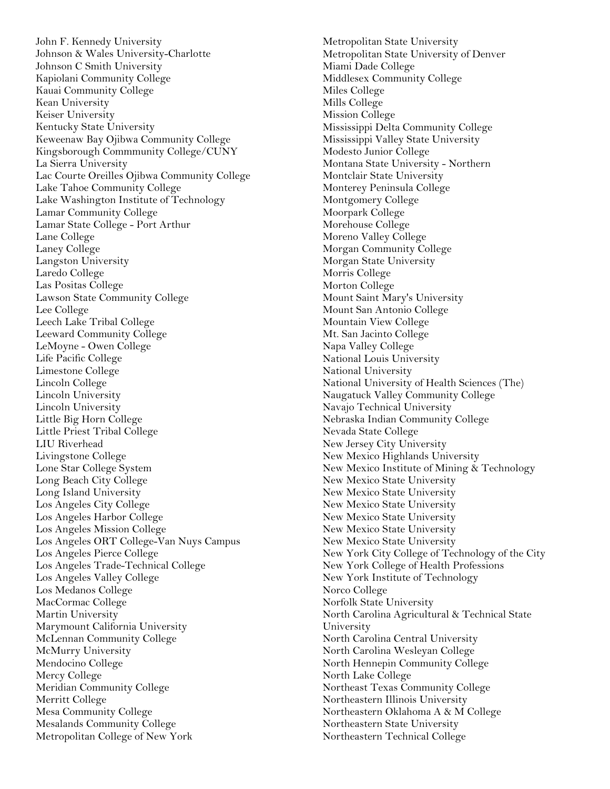John F. Kennedy University Johnson & Wales University-Charlotte Johnson C Smith University Kapiolani Community College Kauai Community College Kean University Keiser University Kentucky State University Keweenaw Bay Ojibwa Community College Kingsborough Commmunity College/CUNY La Sierra University Lac Courte Oreilles Ojibwa Community College Lake Tahoe Community College Lake Washington Institute of Technology Lamar Community College Lamar State College - Port Arthur Lane College Laney College Langston University Laredo College Las Positas College Lawson State Community College Lee College Leech Lake Tribal College Leeward Community College LeMoyne - Owen College Life Pacific College Limestone College Lincoln College Lincoln University Lincoln University Little Big Horn College Little Priest Tribal College LIU Riverhead Livingstone College Lone Star College System Long Beach City College Long Island University Los Angeles City College Los Angeles Harbor College Los Angeles Mission College Los Angeles ORT College-Van Nuys Campus Los Angeles Pierce College Los Angeles Trade-Technical College Los Angeles Valley College Los Medanos College MacCormac College Martin University Marymount California University McLennan Community College McMurry University Mendocino College Mercy College Meridian Community College Merritt College Mesa Community College Mesalands Community College Metropolitan College of New York

Metropolitan State University Metropolitan State University of Denver Miami Dade College Middlesex Community College Miles College Mills College Mission College Mississippi Delta Community College Mississippi Valley State University Modesto Junior College Montana State University - Northern Montclair State University Monterey Peninsula College Montgomery College Moorpark College Morehouse College Moreno Valley College Morgan Community College Morgan State University Morris College Morton College Mount Saint Mary's University Mount San Antonio College Mountain View College Mt. San Jacinto College Napa Valley College National Louis University National University National University of Health Sciences (The) Naugatuck Valley Community College Navajo Technical University Nebraska Indian Community College Nevada State College New Jersey City University New Mexico Highlands University New Mexico Institute of Mining & Technology New Mexico State University New Mexico State University New Mexico State University New Mexico State University New Mexico State University New Mexico State University New York City College of Technology of the City New York College of Health Professions New York Institute of Technology Norco College Norfolk State University North Carolina Agricultural & Technical State University North Carolina Central University North Carolina Wesleyan College North Hennepin Community College North Lake College Northeast Texas Community College Northeastern Illinois University Northeastern Oklahoma A & M College Northeastern State University Northeastern Technical College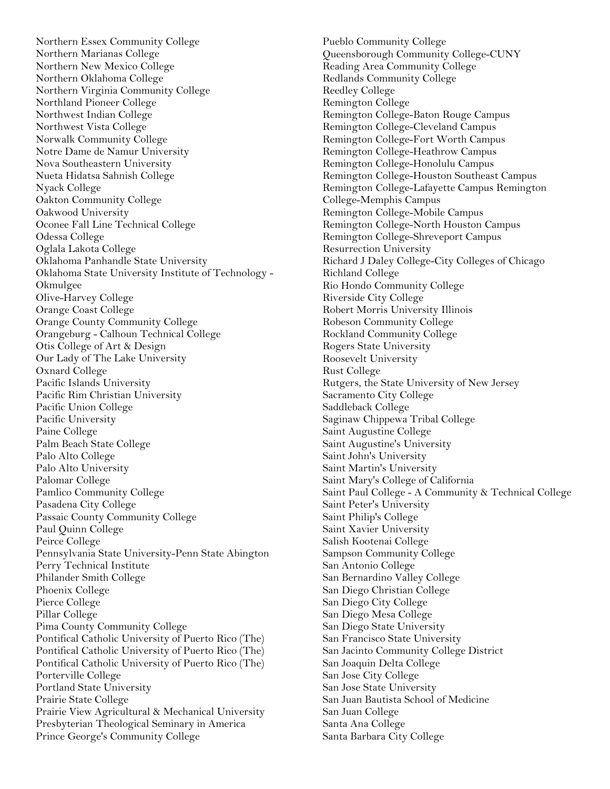Northern Essex Community College Northern Marianas College Northern New Mexico College Northern Oklahoma College Northern Virginia Community College Northland Pioneer College Northwest Indian College Northwest Vista College Norwalk Community College Notre Dame de Namur University Nova Southeastern University Nueta Hidatsa Sahnish College Nyack College Oakton Community College Oakwood University Oconee Fall Line Technical College Odessa College Oglala Lakota College Oklahoma Panhandle State University Oklahoma State University Institute of Technology - Okmulgee Olive-Harvey College Orange Coast College Orange County Community College Orangeburg - Calhoun Technical College Otis College of Art & Design Our Lady of The Lake University Oxnard College Pacific Islands University Pacific Rim Christian University Pacific Union College Pacific University Paine College Palm Beach State College Palo Alto College Palo Alto University Palomar College Pamlico Community College Pasadena City College Passaic County Community College Paul Quinn College Peirce College Pennsylvania State University-Penn State Abington Perry Technical Institute Philander Smith College Phoenix College Pierce College Pillar College Pima County Community College Pontifical Catholic University of Puerto Rico (The) Pontifical Catholic University of Puerto Rico (The) Pontifical Catholic University of Puerto Rico (The) Porterville College Portland State University Prairie State College Prairie View Agricultural & Mechanical University Presbyterian Theological Seminary in America Prince George's Community College

Pueblo Community College Queensborough Community College-CUNY Reading Area Community College Redlands Community College Reedley College Remington College Remington College-Baton Rouge Campus Remington College-Cleveland Campus Remington College-Fort Worth Campus Remington College-Heathrow Campus Remington College-Honolulu Campus Remington College-Houston Southeast Campus Remington College-Lafayette Campus Remington College-Memphis Campus Remington College-Mobile Campus Remington College-North Houston Campus Remington College-Shreveport Campus Resurrection University Richard J Daley College-City Colleges of Chicago Richland College Rio Hondo Community College Riverside City College Robert Morris University Illinois Robeson Community College Rockland Community College Rogers State University Roosevelt University Rust College Rutgers, the State University of New Jersey Sacramento City College Saddleback College Saginaw Chippewa Tribal College Saint Augustine College Saint Augustine's University Saint John's University Saint Martin's University Saint Mary's College of California Saint Paul College - A Community & Technical College Saint Peter's University Saint Philip's College Saint Xavier University Salish Kootenai College Sampson Community College San Antonio College San Bernardino Valley College San Diego Christian College San Diego City College San Diego Mesa College San Diego State University San Francisco State University San Jacinto Community College District San Joaquin Delta College San Jose City College San Jose State University San Juan Bautista School of Medicine San Juan College Santa Ana College Santa Barbara City College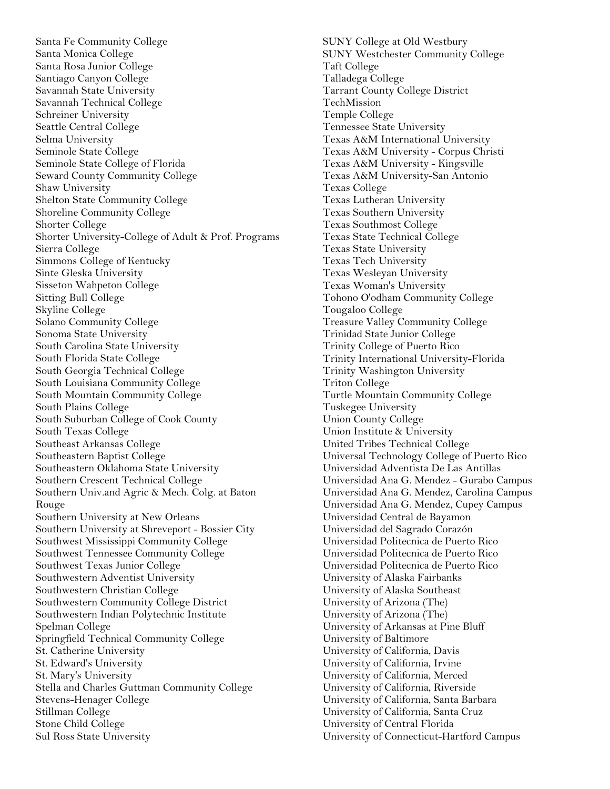Santa Fe Community College Santa Monica College Santa Rosa Junior College Santiago Canyon College Savannah State University Savannah Technical College Schreiner University Seattle Central College Selma University Seminole State College Seminole State College of Florida Seward County Community College Shaw University Shelton State Community College Shoreline Community College Shorter College Shorter University-College of Adult & Prof. Programs Sierra College Simmons College of Kentucky Sinte Gleska University Sisseton Wahpeton College Sitting Bull College Skyline College Solano Community College Sonoma State University South Carolina State University South Florida State College South Georgia Technical College South Louisiana Community College South Mountain Community College South Plains College South Suburban College of Cook County South Texas College Southeast Arkansas College Southeastern Baptist College Southeastern Oklahoma State University Southern Crescent Technical College Southern Univ.and Agric & Mech. Colg. at Baton Rouge Southern University at New Orleans Southern University at Shreveport - Bossier City Southwest Mississippi Community College Southwest Tennessee Community College Southwest Texas Junior College Southwestern Adventist University Southwestern Christian College Southwestern Community College District Southwestern Indian Polytechnic Institute Spelman College Springfield Technical Community College St. Catherine University St. Edward's University St. Mary's University Stella and Charles Guttman Community College Stevens-Henager College Stillman College Stone Child College Sul Ross State University

SUNY College at Old Westbury SUNY Westchester Community College Taft College Talladega College Tarrant County College District TechMission Temple College Tennessee State University Texas A&M International University Texas A&M University - Corpus Christi Texas A&M University - Kingsville Texas A&M University-San Antonio Texas College Texas Lutheran University Texas Southern University Texas Southmost College Texas State Technical College Texas State University Texas Tech University Texas Wesleyan University Texas Woman's University Tohono O'odham Community College Tougaloo College Treasure Valley Community College Trinidad State Junior College Trinity College of Puerto Rico Trinity International University-Florida Trinity Washington University Triton College Turtle Mountain Community College Tuskegee University Union County College Union Institute & University United Tribes Technical College Universal Technology College of Puerto Rico Universidad Adventista De Las Antillas Universidad Ana G. Mendez - Gurabo Campus Universidad Ana G. Mendez, Carolina Campus Universidad Ana G. Mendez, Cupey Campus Universidad Central de Bayamon Universidad del Sagrado Corazón Universidad Politecnica de Puerto Rico Universidad Politecnica de Puerto Rico Universidad Politecnica de Puerto Rico University of Alaska Fairbanks University of Alaska Southeast University of Arizona (The) University of Arizona (The) University of Arkansas at Pine Bluff University of Baltimore University of California, Davis University of California, Irvine University of California, Merced University of California, Riverside University of California, Santa Barbara University of California, Santa Cruz University of Central Florida University of Connecticut-Hartford Campus